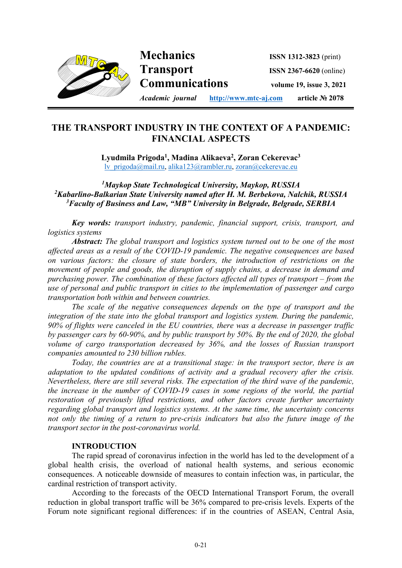

# **THE TRANSPORT INDUSTRY IN THE CONTEXT OF A PANDEMIC: FINANCIAL ASPECTS**

**i**

**Lyudmila Prigoda1 , Madina Alikaeva2 , Zoran Cekerevac3** lv\_prigoda@mail.ru, alika123@rambler.ru, zoran@cekerevac.eu

## *1 Maykop State Technological University, Maykop, RUSSIA 2 Kabarlino-Balkarian State University named after H. M. Berbekova, Nalchik, RUSSIA 3 Faculty of Business and Law, "MB" University in Belgrade, Belgrade, SERBIA*

*Key words: transport industry, pandemic, financial support, crisis, transport, and logistics systems* 

*Abstract: The global transport and logistics system turned out to be one of the most affected areas as a result of the COVID-19 pandemic. The negative consequences are based on various factors: the closure of state borders, the introduction of restrictions on the movement of people and goods, the disruption of supply chains, a decrease in demand and purchasing power. The combination of these factors affected all types of transport – from the use of personal and public transport in cities to the implementation of passenger and cargo transportation both within and between countries.* 

*The scale of the negative consequences depends on the type of transport and the integration of the state into the global transport and logistics system. During the pandemic, 90% of flights were canceled in the EU countries, there was a decrease in passenger traffic by passenger cars by 60-90%, and by public transport by 50%. By the end of 2020, the global volume of cargo transportation decreased by 36%, and the losses of Russian transport companies amounted to 230 billion rubles.* 

*Today, the countries are at a transitional stage: in the transport sector, there is an adaptation to the updated conditions of activity and a gradual recovery after the crisis. Nevertheless, there are still several risks. The expectation of the third wave of the pandemic, the increase in the number of COVID-19 cases in some regions of the world, the partial restoration of previously lifted restrictions, and other factors create further uncertainty regarding global transport and logistics systems. At the same time, the uncertainty concerns not only the timing of a return to pre-crisis indicators but also the future image of the transport sector in the post-coronavirus world.* 

#### **INTRODUCTION**

The rapid spread of coronavirus infection in the world has led to the development of a global health crisis, the overload of national health systems, and serious economic consequences. A noticeable downside of measures to contain infection was, in particular, the cardinal restriction of transport activity.

According to the forecasts of the OECD International Transport Forum, the overall reduction in global transport traffic will be 36% compared to pre-crisis levels. Experts of the Forum note significant regional differences: if in the countries of ASEAN, Central Asia,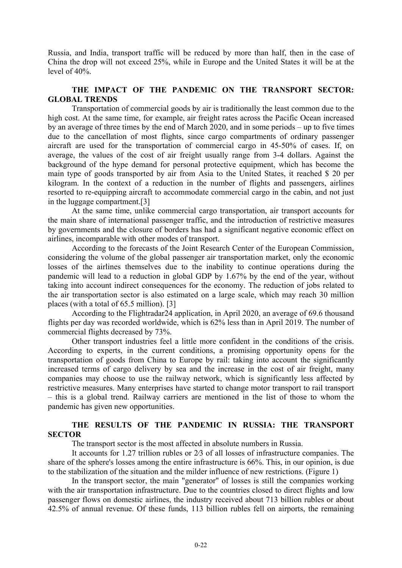Russia, and India, transport traffic will be reduced by more than half, then in the case of China the drop will not exceed 25%, while in Europe and the United States it will be at the level of 40%.

### **THE IMPACT OF THE PANDEMIC ON THE TRANSPORT SECTOR: GLOBAL TRENDS**

Transportation of commercial goods by air is traditionally the least common due to the high cost. At the same time, for example, air freight rates across the Pacific Ocean increased by an average of three times by the end of March 2020, and in some periods – up to five times due to the cancellation of most flights, since cargo compartments of ordinary passenger aircraft are used for the transportation of commercial cargo in 45-50% of cases. If, on average, the values of the cost of air freight usually range from 3-4 dollars. Against the background of the hype demand for personal protective equipment, which has become the main type of goods transported by air from Asia to the United States, it reached \$ 20 per kilogram. In the context of a reduction in the number of flights and passengers, airlines resorted to re-equipping aircraft to accommodate commercial cargo in the cabin, and not just in the luggage compartment.[3]

At the same time, unlike commercial cargo transportation, air transport accounts for the main share of international passenger traffic, and the introduction of restrictive measures by governments and the closure of borders has had a significant negative economic effect on airlines, incomparable with other modes of transport.

According to the forecasts of the Joint Research Center of the European Commission, considering the volume of the global passenger air transportation market, only the economic losses of the airlines themselves due to the inability to continue operations during the pandemic will lead to a reduction in global GDP by 1.67% by the end of the year, without taking into account indirect consequences for the economy. The reduction of jobs related to the air transportation sector is also estimated on a large scale, which may reach 30 million places (with a total of 65.5 million). [3]

According to the Flightradar24 application, in April 2020, an average of 69.6 thousand flights per day was recorded worldwide, which is 62% less than in April 2019. The number of commercial flights decreased by 73%.

Other transport industries feel a little more confident in the conditions of the crisis. According to experts, in the current conditions, a promising opportunity opens for the transportation of goods from China to Europe by rail: taking into account the significantly increased terms of cargo delivery by sea and the increase in the cost of air freight, many companies may choose to use the railway network, which is significantly less affected by restrictive measures. Many enterprises have started to change motor transport to rail transport – this is a global trend. Railway carriers are mentioned in the list of those to whom the pandemic has given new opportunities.

#### **THE RESULTS OF THE PANDEMIC IN RUSSIA: THE TRANSPORT SECTOR**

The transport sector is the most affected in absolute numbers in Russia.

It accounts for 1.27 trillion rubles or 2⁄3 of all losses of infrastructure companies. The share of the sphere's losses among the entire infrastructure is 66%. This, in our opinion, is due to the stabilization of the situation and the milder influence of new restrictions. (Figure 1)

In the transport sector, the main "generator" of losses is still the companies working with the air transportation infrastructure. Due to the countries closed to direct flights and low passenger flows on domestic airlines, the industry received about 713 billion rubles or about 42.5% of annual revenue. Of these funds, 113 billion rubles fell on airports, the remaining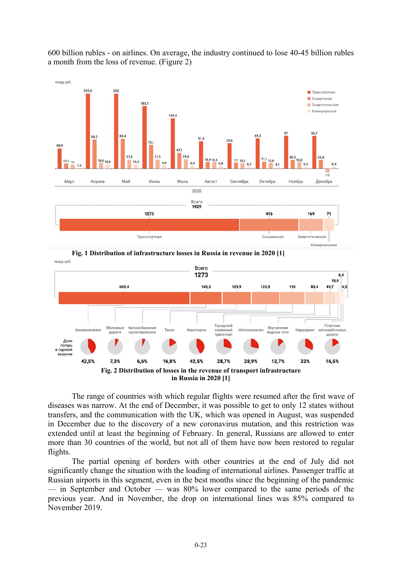600 billion rubles - on airlines. On average, the industry continued to lose 40-45 billion rubles a month from the loss of revenue. (Figure 2)



**Fig. 1 Distribution of infrastructure losses in Russia in revenue in 2020 [1]** млрд руб



The range of countries with which regular flights were resumed after the first wave of diseases was narrow. At the end of December, it was possible to get to only 12 states without transfers, and the communication with the UK, which was opened in August, was suspended in December due to the discovery of a new coronavirus mutation, and this restriction was extended until at least the beginning of February. In general, Russians are allowed to enter more than 30 countries of the world, but not all of them have now been restored to regular flights.

The partial opening of borders with other countries at the end of July did not significantly change the situation with the loading of international airlines. Passenger traffic at Russian airports in this segment, even in the best months since the beginning of the pandemic — in September and October — was 80% lower compared to the same periods of the previous year. And in November, the drop on international lines was 85% compared to November 2019.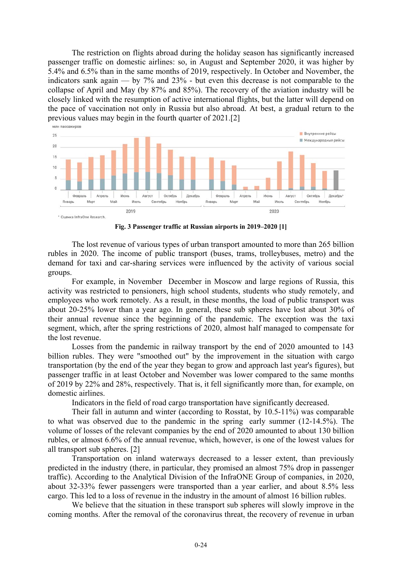The restriction on flights abroad during the holiday season has significantly increased passenger traffic on domestic airlines: so, in August and September 2020, it was higher by 5.4% and 6.5% than in the same months of 2019, respectively. In October and November, the indicators sank again — by 7% and 23% - but even this decrease is not comparable to the collapse of April and May (by 87% and 85%). The recovery of the aviation industry will be closely linked with the resumption of active international flights, but the latter will depend on the pace of vaccination not only in Russia but also abroad. At best, a gradual return to the previous values may begin in the fourth quarter of 2021.[2]



**Fig. 3 Passenger traffic at Russian airports in 2019–2020 [1]** 

The lost revenue of various types of urban transport amounted to more than 265 billion rubles in 2020. The income of public transport (buses, trams, trolleybuses, metro) and the demand for taxi and car-sharing services were influenced by the activity of various social groups.

For example, in November December in Moscow and large regions of Russia, this activity was restricted to pensioners, high school students, students who study remotely, and employees who work remotely. As a result, in these months, the load of public transport was about 20-25% lower than a year ago. In general, these sub spheres have lost about 30% of their annual revenue since the beginning of the pandemic. The exception was the taxi segment, which, after the spring restrictions of 2020, almost half managed to compensate for the lost revenue.

Losses from the pandemic in railway transport by the end of 2020 amounted to 143 billion rubles. They were "smoothed out" by the improvement in the situation with cargo transportation (by the end of the year they began to grow and approach last year's figures), but passenger traffic in at least October and November was lower compared to the same months of 2019 by 22% and 28%, respectively. That is, it fell significantly more than, for example, on domestic airlines.

Indicators in the field of road cargo transportation have significantly decreased.

Their fall in autumn and winter (according to Rosstat, by 10.5-11%) was comparable to what was observed due to the pandemic in the spring early summer  $(12-14.5\%)$ . The volume of losses of the relevant companies by the end of 2020 amounted to about 130 billion rubles, or almost 6.6% of the annual revenue, which, however, is one of the lowest values for all transport sub spheres. [2]

Transportation on inland waterways decreased to a lesser extent, than previously predicted in the industry (there, in particular, they promised an almost 75% drop in passenger traffic). According to the Analytical Division of the InfraONE Group of companies, in 2020, about 32-33% fewer passengers were transported than a year earlier, and about 8.5% less cargo. This led to a loss of revenue in the industry in the amount of almost 16 billion rubles.

We believe that the situation in these transport sub spheres will slowly improve in the coming months. After the removal of the coronavirus threat, the recovery of revenue in urban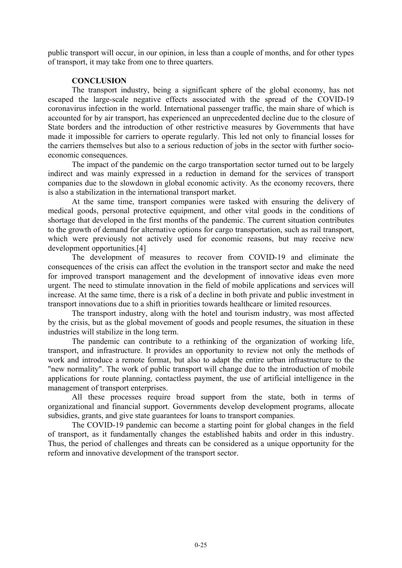public transport will occur, in our opinion, in less than a couple of months, and for other types of transport, it may take from one to three quarters.

### **CONCLUSION**

The transport industry, being a significant sphere of the global economy, has not escaped the large-scale negative effects associated with the spread of the COVID-19 coronavirus infection in the world. International passenger traffic, the main share of which is accounted for by air transport, has experienced an unprecedented decline due to the closure of State borders and the introduction of other restrictive measures by Governments that have made it impossible for carriers to operate regularly. This led not only to financial losses for the carriers themselves but also to a serious reduction of jobs in the sector with further socioeconomic consequences.

The impact of the pandemic on the cargo transportation sector turned out to be largely indirect and was mainly expressed in a reduction in demand for the services of transport companies due to the slowdown in global economic activity. As the economy recovers, there is also a stabilization in the international transport market.

At the same time, transport companies were tasked with ensuring the delivery of medical goods, personal protective equipment, and other vital goods in the conditions of shortage that developed in the first months of the pandemic. The current situation contributes to the growth of demand for alternative options for cargo transportation, such as rail transport, which were previously not actively used for economic reasons, but may receive new development opportunities.<sup>[4]</sup>

The development of measures to recover from COVID-19 and eliminate the consequences of the crisis can affect the evolution in the transport sector and make the need for improved transport management and the development of innovative ideas even more urgent. The need to stimulate innovation in the field of mobile applications and services will increase. At the same time, there is a risk of a decline in both private and public investment in transport innovations due to a shift in priorities towards healthcare or limited resources.

The transport industry, along with the hotel and tourism industry, was most affected by the crisis, but as the global movement of goods and people resumes, the situation in these industries will stabilize in the long term.

The pandemic can contribute to a rethinking of the organization of working life, transport, and infrastructure. It provides an opportunity to review not only the methods of work and introduce a remote format, but also to adapt the entire urban infrastructure to the "new normality". The work of public transport will change due to the introduction of mobile applications for route planning, contactless payment, the use of artificial intelligence in the management of transport enterprises.

All these processes require broad support from the state, both in terms of organizational and financial support. Governments develop development programs, allocate subsidies, grants, and give state guarantees for loans to transport companies.

The COVID-19 pandemic can become a starting point for global changes in the field of transport, as it fundamentally changes the established habits and order in this industry. Thus, the period of challenges and threats can be considered as a unique opportunity for the reform and innovative development of the transport sector.